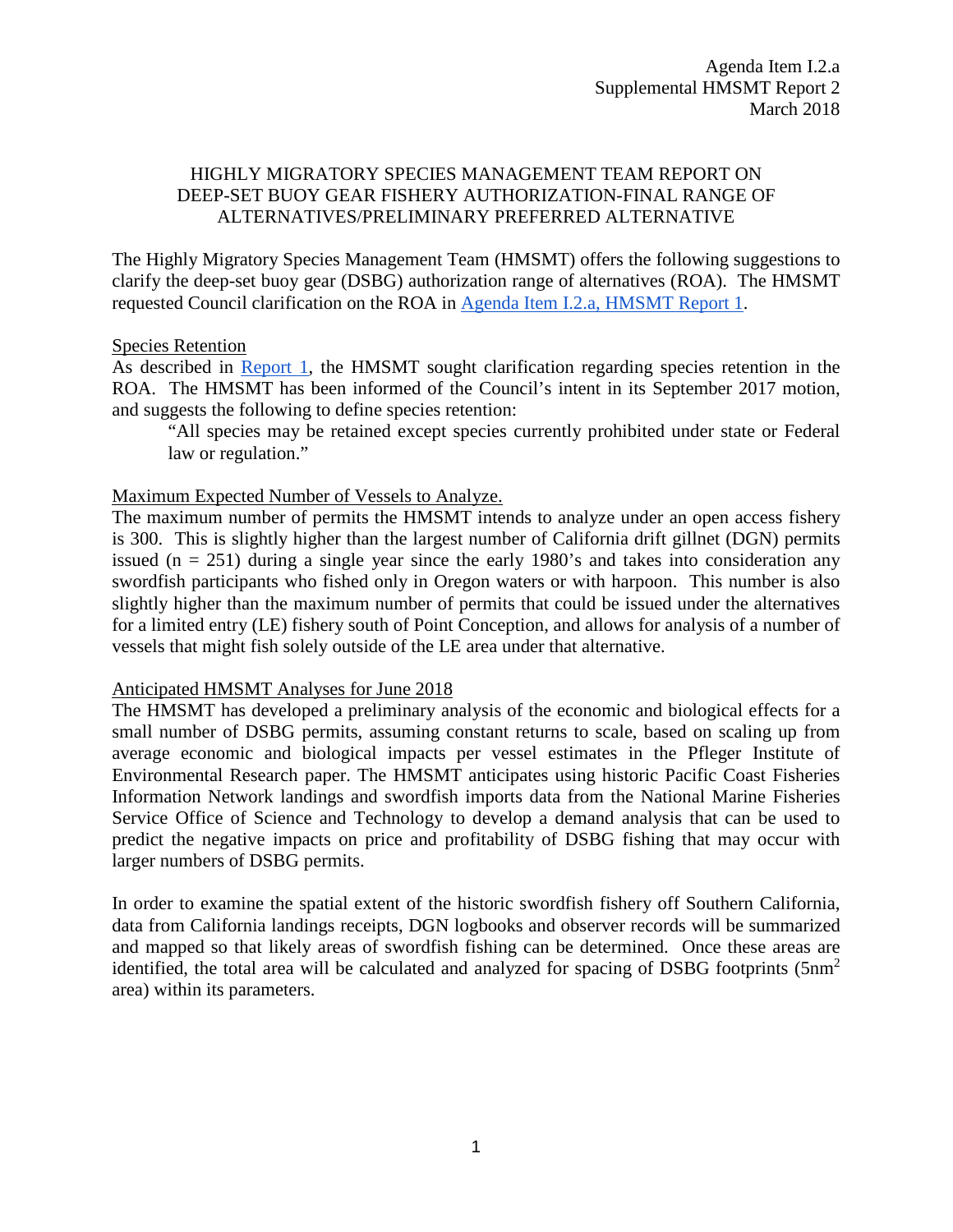## HIGHLY MIGRATORY SPECIES MANAGEMENT TEAM REPORT ON DEEP-SET BUOY GEAR FISHERY AUTHORIZATION-FINAL RANGE OF ALTERNATIVES/PRELIMINARY PREFERRED ALTERNATIVE

The Highly Migratory Species Management Team (HMSMT) offers the following suggestions to clarify the deep-set buoy gear (DSBG) authorization range of alternatives (ROA). The HMSMT requested Council clarification on the ROA in [Agenda Item I.2.a, HMSMT Report 1.](https://www.pcouncil.org/wp-content/uploads/2018/02/I2a_HMSMT_Rpt1_DSBG_ROAs_MAR2018BB.pdf)

## Species Retention

As described in [Report 1,](https://www.pcouncil.org/wp-content/uploads/2018/02/I2a_HMSMT_Rpt1_DSBG_ROAs_MAR2018BB.pdf) the HMSMT sought clarification regarding species retention in the ROA. The HMSMT has been informed of the Council's intent in its September 2017 motion, and suggests the following to define species retention:

"All species may be retained except species currently prohibited under state or Federal law or regulation."

## Maximum Expected Number of Vessels to Analyze.

The maximum number of permits the HMSMT intends to analyze under an open access fishery is 300. This is slightly higher than the largest number of California drift gillnet (DGN) permits issued ( $n = 251$ ) during a single year since the early 1980's and takes into consideration any swordfish participants who fished only in Oregon waters or with harpoon. This number is also slightly higher than the maximum number of permits that could be issued under the alternatives for a limited entry (LE) fishery south of Point Conception, and allows for analysis of a number of vessels that might fish solely outside of the LE area under that alternative.

## Anticipated HMSMT Analyses for June 2018

The HMSMT has developed a preliminary analysis of the economic and biological effects for a small number of DSBG permits, assuming constant returns to scale, based on scaling up from average economic and biological impacts per vessel estimates in the Pfleger Institute of Environmental Research paper. The HMSMT anticipates using historic Pacific Coast Fisheries Information Network landings and swordfish imports data from the National Marine Fisheries Service Office of Science and Technology to develop a demand analysis that can be used to predict the negative impacts on price and profitability of DSBG fishing that may occur with larger numbers of DSBG permits.

In order to examine the spatial extent of the historic swordfish fishery off Southern California, data from California landings receipts, DGN logbooks and observer records will be summarized and mapped so that likely areas of swordfish fishing can be determined. Once these areas are identified, the total area will be calculated and analyzed for spacing of DSBG footprints (5nm<sup>2</sup> area) within its parameters.